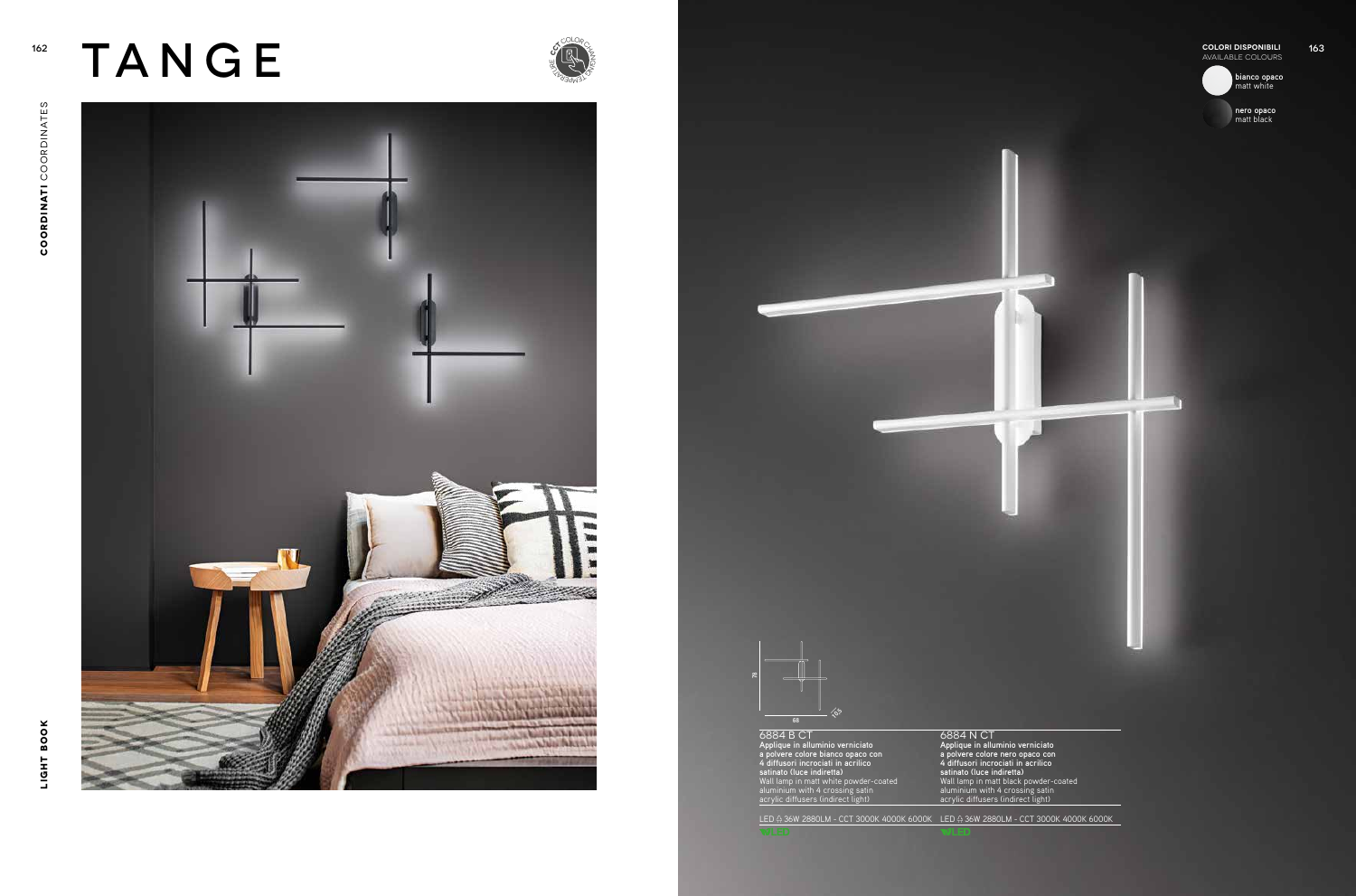**COLORI DISPONIBILI AVAILABLE COLORI DISPONIBILI**<br>AVAILABLE COLORI DISPONIBILI



w

## 162 TANGE

6884 N CT **Applique in alluminio verniciato a polvere colore nero opaco con 4 diffusori incrociati in acrilico satinato (luce indiretta)** Wall lamp in matt black powder-coated aluminium with 4 crossing satin acrylic diffusers (indirect light)

78

**bianco opaco** matt white

**nero opaco** matt black





6884 B CT **Applique in alluminio verniciato a polvere colore bianco opaco con 4 diffusori incrociati in acrilico satinato (luce indiretta)** Wall lamp in matt white powder-coated aluminium with 4 crossing satin acrylic diffusers (indirect light) LED 36W 2880LM - CCT 3000K 4000K 6000K LED 36W 2880LM - CCT 3000K 4000K 6000K 68  $\sqrt{2}$